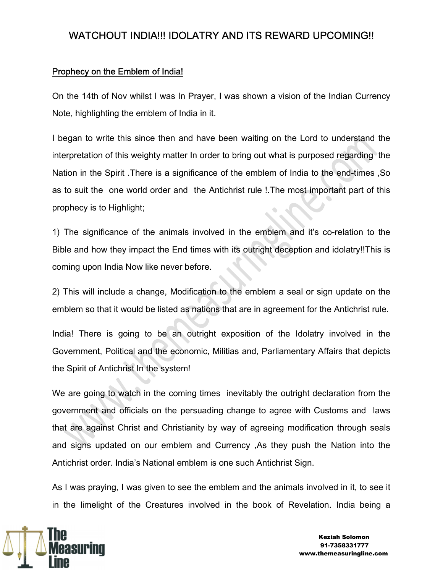#### Prophecy on the Emblem of India!

On the 14th of Nov whilst I was In Prayer, I was shown a vision of the Indian Currency Note, highlighting the emblem of India in it.

I began to write this since then and have been waiting on the Lord to understand the interpretation of this weighty matter In order to bring out what is purposed regarding the Nation in the Spirit .There is a significance of the emblem of India to the end-times ,So as to suit the one world order and the Antichrist rule !.The most important part of this prophecy is to Highlight;

1) The significance of the animals involved in the emblem and it's co-relation to the Bible and how they impact the End times with its outright deception and idolatry!!This is coming upon India Now like never before.

2) This will include a change, Modification to the emblem a seal or sign update on the emblem so that it would be listed as nations that are in agreement for the Antichrist rule.

India! There is going to be an outright exposition of the Idolatry involved in the Government, Political and the economic, Militias and, Parliamentary Affairs that depicts the Spirit of Antichrist In the system!

We are going to watch in the coming times inevitably the outright declaration from the government and officials on the persuading change to agree with Customs and laws that are against Christ and Christianity by way of agreeing modification through seals and signs updated on our emblem and Currency ,As they push the Nation into the Antichrist order. India's National emblem is one such Antichrist Sign.

As I was praying, I was given to see the emblem and the animals involved in it, to see it in the limelight of the Creatures involved in the book of Revelation. India being a



 Keziah Solomon 91-7358331777 www.themeasuringline.com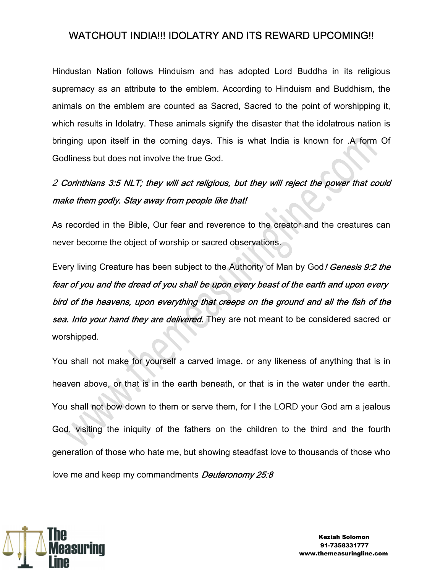Hindustan Nation follows Hinduism and has adopted Lord Buddha in its religious supremacy as an attribute to the emblem. According to Hinduism and Buddhism, the animals on the emblem are counted as Sacred, Sacred to the point of worshipping it, which results in Idolatry. These animals signify the disaster that the idolatrous nation is bringing upon itself in the coming days. This is what India is known for .A form Of Godliness but does not involve the true God.

# 2 Corinthians 3:5 NLT; they will act religious, but they will reject the power that could make them godly. Stay away from people like that!

As recorded in the Bible, Our fear and reverence to the creator and the creatures can never become the object of worship or sacred observations.

Every living Creature has been subject to the Authority of Man by God! Genesis 9:2 the fear of you and the dread of you shall be upon every beast of the earth and upon every bird of the heavens, upon everything that creeps on the ground and all the fish of the sea. Into your hand they are delivered. They are not meant to be considered sacred or worshipped.

You shall not make for yourself a carved image, or any likeness of anything that is in heaven above, or that is in the earth beneath, or that is in the water under the earth. You shall not bow down to them or serve them, for I the LORD your God am a jealous God, visiting the iniquity of the fathers on the children to the third and the fourth generation of those who hate me, but showing steadfast love to thousands of those who love me and keep my commandments **Deuteronomy 25:8** 

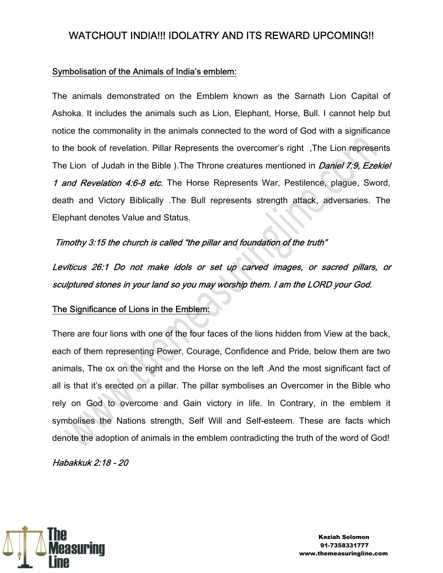#### Symbolisation of the Animals of India's emblem:

The animals demonstrated on the Emblem known as the Sarnath Lion Capital of Ashoka. It includes the animals such as Lion, Elephant, Horse, Bull. I cannot help but notice the commonality in the animals connected to the word of God with a significance to the book of revelation. Pillar Represents the overcomer's right ,The Lion represents The Lion of Judah in the Bible ). The Throne creatures mentioned in *Daniel 7:9, Ezekiel* 1 and Revelation 4:6-8 etc. The Horse Represents War, Pestilence, plague, Sword, death and Victory Biblically .The Bull represents strength attack, adversaries. The Elephant denotes Value and Status.

#### Timothy 3:15 the church is called "the pillar and foundation of the truth"

Leviticus 26:1 Do not make idols or set up carved images, or sacred pillars, or sculptured stones in your land so you may worship them. I am the LORD your God.

#### The Significance of Lions in the Emblem:

There are four lions with one of the four faces of the lions hidden from View at the back, each of them representing Power, Courage, Confidence and Pride, below them are two animals, The ox on the right and the Horse on the left .And the most significant fact of all is that it's erected on a pillar. The pillar symbolises an Overcomer in the Bible who rely on God to overcome and Gain victory in life. In Contrary, in the emblem it symbolises the Nations strength, Self Will and Self-esteem. These are facts which denote the adoption of animals in the emblem contradicting the truth of the word of God!

Habakkuk 2:18 - 20

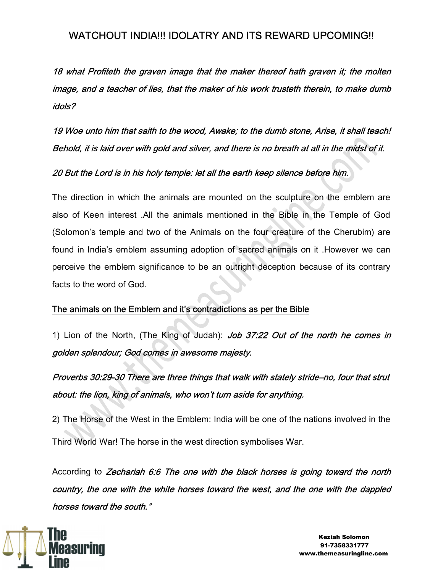18 what Profiteth the graven image that the maker thereof hath graven it; the molten image, and a teacher of lies, that the maker of his work trusteth therein, to make dumb idols?

19 Woe unto him that saith to the wood, Awake; to the dumb stone, Arise, it shall teach! Behold, it is laid over with gold and silver, and there is no breath at all in the midst of it.

#### 20 But the Lord is in his holy temple: let all the earth keep silence before him.

The direction in which the animals are mounted on the sculpture on the emblem are also of Keen interest .All the animals mentioned in the Bible in the Temple of God (Solomon's temple and two of the Animals on the four creature of the Cherubim) are found in India's emblem assuming adoption of sacred animals on it .However we can perceive the emblem significance to be an outright deception because of its contrary facts to the word of God.

#### The animals on the Emblem and it's contradictions as per the Bible

1) Lion of the North, (The King of Judah): Job 37:22 Out of the north he comes in golden splendour; God comes in awesome majesty.

Proverbs 30:29-30 There are three things that walk with stately stride–no, four that strut about: the lion, king of animals, who won't turn aside for anything.

2) The Horse of the West in the Emblem: India will be one of the nations involved in the Third World War! The horse in the west direction symbolises War.

According to Zechariah 6:6 The one with the black horses is going toward the north country, the one with the white horses toward the west, and the one with the dappled horses toward the south."



 Keziah Solomon 91-7358331777 www.themeasuringline.com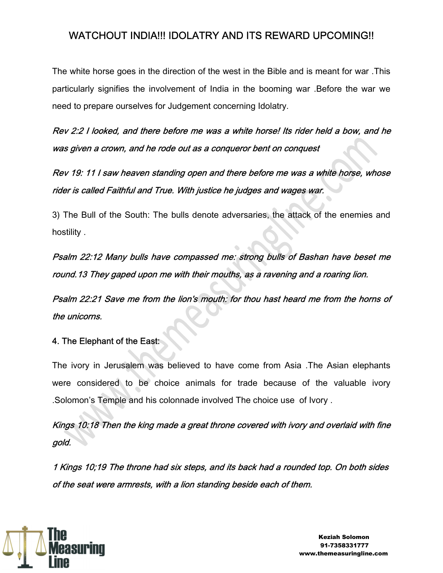The white horse goes in the direction of the west in the Bible and is meant for war .This particularly signifies the involvement of India in the booming war .Before the war we need to prepare ourselves for Judgement concerning Idolatry.

Rev 2:2 I looked, and there before me was a white horse! Its rider held a bow, and he was given a crown, and he rode out as a conqueror bent on conquest

Rev 19: 11 I saw heaven standing open and there before me was a white horse, whose rider is called Faithful and True. With justice he judges and wages war.

3) The Bull of the South: The bulls denote adversaries, the attack of the enemies and hostility .

Psalm 22:12 Many bulls have compassed me: strong bulls of Bashan have beset me round.13 They gaped upon me with their mouths, as a ravening and a roaring lion.

Psalm 22:21 Save me from the lion's mouth: for thou hast heard me from the horns of the unicorns.

#### 4. The Elephant of the East:

The ivory in Jerusalem was believed to have come from Asia .The Asian elephants were considered to be choice animals for trade because of the valuable ivory .Solomon's Temple and his colonnade involved The choice use of Ivory .

Kings 10:18 Then the king made a great throne covered with ivory and overlaid with fine gold.

1 Kings 10;19 The throne had six steps, and its back had a rounded top. On both sides of the seat were armrests, with a lion standing beside each of them.

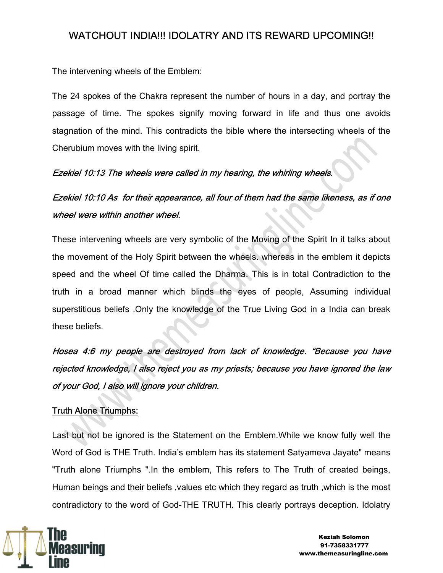The intervening wheels of the Emblem:

The 24 spokes of the Chakra represent the number of hours in a day, and portray the passage of time. The spokes signify moving forward in life and thus one avoids stagnation of the mind. This contradicts the bible where the intersecting wheels of the Cherubium moves with the living spirit.

#### Ezekiel 10:13 The wheels were called in my hearing, the whirling wheels.

Ezekiel 10:10 As for their appearance, all four of them had the same likeness, as if one wheel were within another wheel.

These intervening wheels are very symbolic of the Moving of the Spirit In it talks about the movement of the Holy Spirit between the wheels. whereas in the emblem it depicts speed and the wheel Of time called the Dharma. This is in total Contradiction to the truth in a broad manner which blinds the eyes of people, Assuming individual superstitious beliefs .Only the knowledge of the True Living God in a India can break these beliefs.

Hosea 4:6 my people are destroyed from lack of knowledge. "Because you have rejected knowledge, I also reject you as my priests; because you have ignored the law of your God, I also will ignore your children.

#### Truth Alone Triumphs:

Last but not be ignored is the Statement on the Emblem.While we know fully well the Word of God is THE Truth. India's emblem has its statement Satyameva Jayate" means "Truth alone Triumphs ".In the emblem, This refers to The Truth of created beings, Human beings and their beliefs ,values etc which they regard as truth ,which is the most contradictory to the word of God-THE TRUTH. This clearly portrays deception. Idolatry

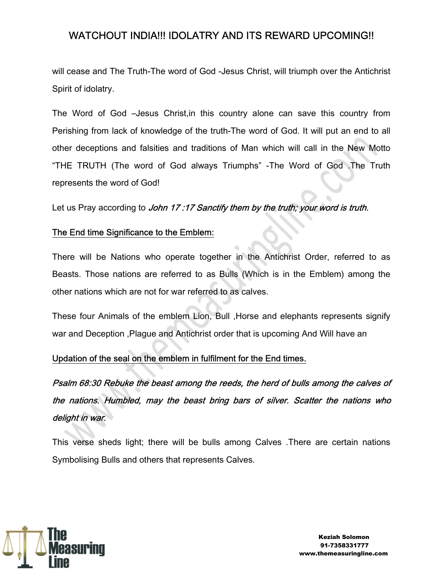will cease and The Truth-The word of God -Jesus Christ, will triumph over the Antichrist Spirit of idolatry.

The Word of God –Jesus Christ,in this country alone can save this country from Perishing from lack of knowledge of the truth-The word of God. It will put an end to all other deceptions and falsities and traditions of Man which will call in the New Motto "THE TRUTH (The word of God always Triumphs" -The Word of God .The Truth represents the word of God!

Let us Pray according to John 17:17 Sanctify them by the truth; your word is truth.

#### The End time Significance to the Emblem:

There will be Nations who operate together in the Antichrist Order, referred to as Beasts. Those nations are referred to as Bulls (Which is in the Emblem) among the other nations which are not for war referred to as calves.

These four Animals of the emblem Lion, Bull ,Horse and elephants represents signify war and Deception ,Plague and Antichrist order that is upcoming And Will have an

#### Updation of the seal on the emblem in fulfilment for the End times.

Psalm 68:30 Rebuke the beast among the reeds, the herd of bulls among the calves of the nations. Humbled, may the beast bring bars of silver. Scatter the nations who delight in war.

This verse sheds light; there will be bulls among Calves .There are certain nations Symbolising Bulls and others that represents Calves.

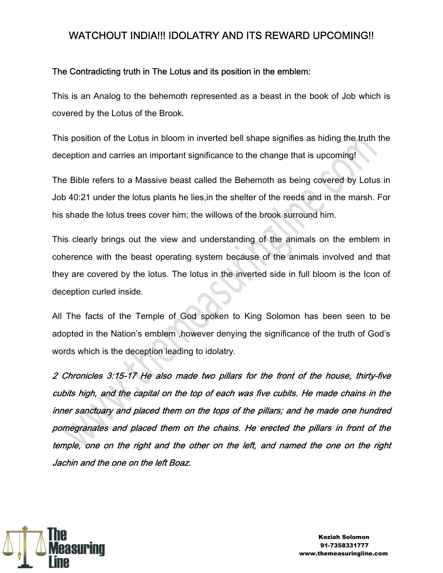#### The Contradicting truth in The Lotus and its position in the emblem:

This is an Analog to the behemoth represented as a beast in the book of Job which is covered by the Lotus of the Brook.

This position of the Lotus in bloom in inverted bell shape signifies as hiding the truth the deception and carries an important significance to the change that is upcoming!

The Bible refers to a Massive beast called the Behemoth as being covered by Lotus in Job 40:21 under the lotus plants he lies,in the shelter of the reeds and in the marsh. For his shade the lotus trees cover him; the willows of the brook surround him.

This clearly brings out the view and understanding of the animals on the emblem in coherence with the beast operating system because of the animals involved and that they are covered by the lotus. The lotus in the inverted side in full bloom is the Icon of deception curled inside.

All The facts of the Temple of God spoken to King Solomon has been seen to be adopted in the Nation's emblem ,however denying the significance of the truth of God's words which is the deception leading to idolatry.

2 Chronicles 3:15-17 He also made two pillars for the front of the house, thirty-five cubits high, and the capital on the top of each was five cubits. He made chains in the inner sanctuary and placed them on the tops of the pillars; and he made one hundred pomegranates and placed them on the chains. He erected the pillars in front of the temple, one on the right and the other on the left, and named the one on the right Jachin and the one on the left Boaz.



 Keziah Solomon 91-7358331777 www.themeasuringline.com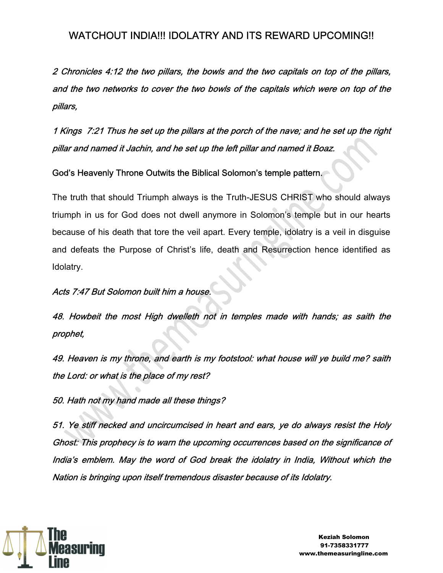2 Chronicles 4:12 the two pillars, the bowls and the two capitals on top of the pillars, and the two networks to cover the two bowls of the capitals which were on top of the pillars,

1 Kings 7:21 Thus he set up the pillars at the porch of the nave; and he set up the right pillar and named it Jachin, and he set up the left pillar and named it Boaz.

God's Heavenly Throne Outwits the Biblical Solomon's temple pattern.

The truth that should Triumph always is the Truth-JESUS CHRIST who should always triumph in us for God does not dwell anymore in Solomon's temple but in our hearts because of his death that tore the veil apart. Every temple, idolatry is a veil in disguise and defeats the Purpose of Christ's life, death and Resurrection hence identified as Idolatry.

Acts 7:47 But Solomon built him a house.

48. Howbeit the most High dwelleth not in temples made with hands; as saith the prophet,

49. Heaven is my throne, and earth is my footstool: what house will ye build me? saith the Lord: or what is the place of my rest?

50. Hath not my hand made all these things?

51. Ye stiff necked and uncircumcised in heart and ears, ye do always resist the Holy Ghost: This prophecy is to warn the upcoming occurrences based on the significance of India's emblem. May the word of God break the idolatry in India, Without which the Nation is bringing upon itself tremendous disaster because of its Idolatry.